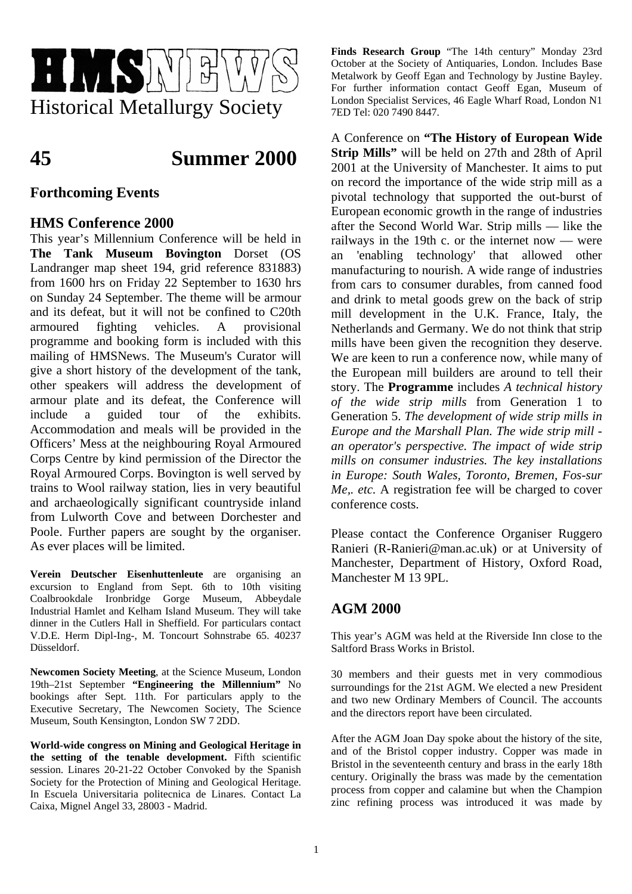

# **45 Summer 2000**

# **Forthcoming Events**

# **HMS Conference 2000**

This year's Millennium Conference will be held in **The Tank Museum Bovington** Dorset (OS Landranger map sheet 194, grid reference 831883) from 1600 hrs on Friday 22 September to 1630 hrs on Sunday 24 September. The theme will be armour and its defeat, but it will not be confined to C20th armoured fighting vehicles. A provisional programme and booking form is included with this mailing of HMSNews. The Museum's Curator will give a short history of the development of the tank, other speakers will address the development of armour plate and its defeat, the Conference will include a guided tour of the exhibits. Accommodation and meals will be provided in the Officers' Mess at the neighbouring Royal Armoured Corps Centre by kind permission of the Director the Royal Armoured Corps. Bovington is well served by trains to Wool railway station, lies in very beautiful and archaeologically significant countryside inland from Lulworth Cove and between Dorchester and Poole. Further papers are sought by the organiser. As ever places will be limited.

**Verein Deutscher Eisenhuttenleute** are organising an excursion to England from Sept. 6th to 10th visiting Coalbrookdale Ironbridge Gorge Museum, Abbeydale Industrial Hamlet and Kelham Island Museum. They will take dinner in the Cutlers Hall in Sheffield. For particulars contact V.D.E. Herm Dipl-Ing-, M. Toncourt Sohnstrabe 65. 40237 Düsseldorf.

**Newcomen Society Meeting**, at the Science Museum, London 19th–21st September **"Engineering the Millennium"** No bookings after Sept. 11th. For particulars apply to the Executive Secretary, The Newcomen Society, The Science Museum, South Kensington, London SW 7 2DD.

**World-wide congress on Mining and Geological Heritage in the setting of the tenable development.** Fifth scientific session. Linares 20-21-22 October Convoked by the Spanish Society for the Protection of Mining and Geological Heritage. In Escuela Universitaria politecnica de Linares. Contact La Caixa, Mignel Angel 33, 28003 - Madrid.

**Finds Research Group** "The 14th century" Monday 23rd October at the Society of Antiquaries, London. Includes Base Metalwork by Geoff Egan and Technology by Justine Bayley. For further information contact Geoff Egan, Museum of London Specialist Services, 46 Eagle Wharf Road, London N1 7ED Tel: 020 7490 8447.

A Conference on **"The History of European Wide Strip Mills"** will be held on 27th and 28th of April 2001 at the University of Manchester. It aims to put on record the importance of the wide strip mill as a pivotal technology that supported the out-burst of European economic growth in the range of industries after the Second World War. Strip mills — like the railways in the 19th c. or the internet now — were an 'enabling technology' that allowed other manufacturing to nourish. A wide range of industries from cars to consumer durables, from canned food and drink to metal goods grew on the back of strip mill development in the U.K. France, Italy, the Netherlands and Germany. We do not think that strip mills have been given the recognition they deserve. We are keen to run a conference now, while many of the European mill builders are around to tell their story. The **Programme** includes *A technical history of the wide strip mills* from Generation 1 to Generation 5. *The development of wide strip mills in Europe and the Marshall Plan. The wide strip mill an operator's perspective. The impact of wide strip mills on consumer industries. The key installations in Europe: South Wales, Toronto, Bremen, Fos-sur Me,. etc.* A registration fee will be charged to cover conference costs.

Please contact the Conference Organiser Ruggero Ranieri (R-Ranieri@man.ac.uk) or at University of Manchester, Department of History, Oxford Road, Manchester M 13 9PL.

# **AGM 2000**

This year's AGM was held at the Riverside Inn close to the Saltford Brass Works in Bristol.

30 members and their guests met in very commodious surroundings for the 21st AGM. We elected a new President and two new Ordinary Members of Council. The accounts and the directors report have been circulated.

After the AGM Joan Day spoke about the history of the site, and of the Bristol copper industry. Copper was made in Bristol in the seventeenth century and brass in the early 18th century. Originally the brass was made by the cementation process from copper and calamine but when the Champion zinc refining process was introduced it was made by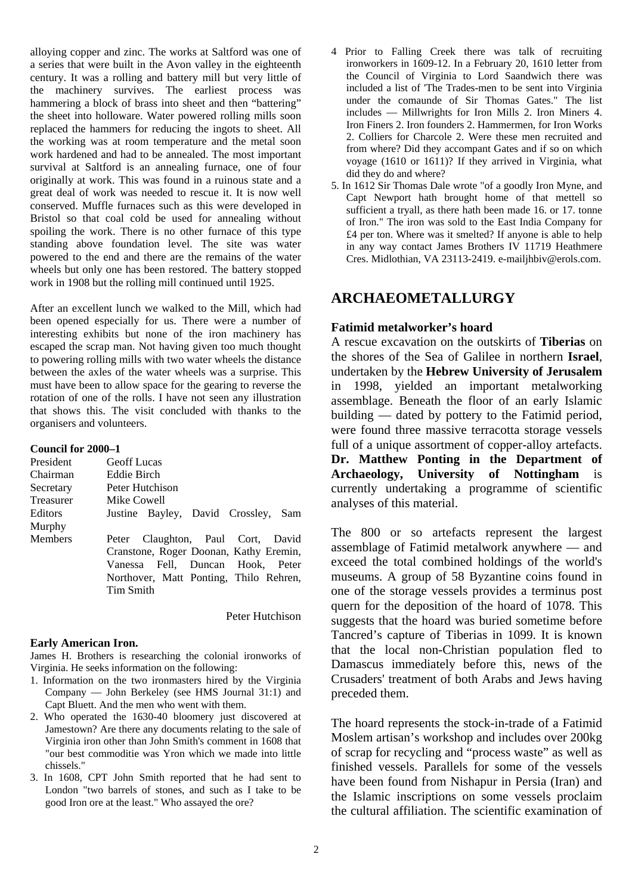alloying copper and zinc. The works at Saltford was one of a series that were built in the Avon valley in the eighteenth century. It was a rolling and battery mill but very little of the machinery survives. The earliest process was hammering a block of brass into sheet and then "battering" the sheet into holloware. Water powered rolling mills soon replaced the hammers for reducing the ingots to sheet. All the working was at room temperature and the metal soon work hardened and had to be annealed. The most important survival at Saltford is an annealing furnace, one of four originally at work. This was found in a ruinous state and a great deal of work was needed to rescue it. It is now well conserved. Muffle furnaces such as this were developed in Bristol so that coal cold be used for annealing without spoiling the work. There is no other furnace of this type standing above foundation level. The site was water powered to the end and there are the remains of the water wheels but only one has been restored. The battery stopped work in 1908 but the rolling mill continued until 1925.

After an excellent lunch we walked to the Mill, which had been opened especially for us. There were a number of interesting exhibits but none of the iron machinery has escaped the scrap man. Not having given too much thought to powering rolling mills with two water wheels the distance between the axles of the water wheels was a surprise. This must have been to allow space for the gearing to reverse the rotation of one of the rolls. I have not seen any illustration that shows this. The visit concluded with thanks to the organisers and volunteers.

#### **Council for 2000–1**

| President<br>Chairman | <b>Geoff</b> Lucas<br>Eddie Birch      |
|-----------------------|----------------------------------------|
| Secretary             | Peter Hutchison                        |
| Treasurer             | Mike Cowell                            |
| <b>Editors</b>        | Justine Bayley, David Crossley, Sam    |
| Murphy                |                                        |
| <b>Members</b>        | Peter Claughton, Paul Cort, David      |
|                       | Cranstone, Roger Doonan, Kathy Eremin, |
|                       | Vanessa Fell, Duncan Hook, Peter       |
|                       | Northover, Matt Ponting, Thilo Rehren, |
|                       | Tim Smith                              |

Peter Hutchison

#### **Early American Iron.**

James H. Brothers is researching the colonial ironworks of Virginia. He seeks information on the following:

- 1. Information on the two ironmasters hired by the Virginia Company — John Berkeley (see HMS Journal 31:1) and Capt Bluett. And the men who went with them.
- 2. Who operated the 1630-40 bloomery just discovered at Jamestown? Are there any documents relating to the sale of Virginia iron other than John Smith's comment in 1608 that "our best commoditie was Yron which we made into little chissels."
- 3. In 1608, CPT John Smith reported that he had sent to London "two barrels of stones, and such as I take to be good Iron ore at the least." Who assayed the ore?
- 4 Prior to Falling Creek there was talk of recruiting ironworkers in 1609-12. In a February 20, 1610 letter from the Council of Virginia to Lord Saandwich there was included a list of 'The Trades-men to be sent into Virginia under the comaunde of Sir Thomas Gates." The list includes — Millwrights for Iron Mills 2. Iron Miners 4. Iron Finers 2. Iron founders 2. Hammermen, for Iron Works 2. Colliers for Charcole 2. Were these men recruited and from where? Did they accompant Gates and if so on which voyage (1610 or 1611)? If they arrived in Virginia, what did they do and where?
- 5. In 1612 Sir Thomas Dale wrote "of a goodly Iron Myne, and Capt Newport hath brought home of that mettell so sufficient a tryall, as there hath been made 16. or 17. tonne of Iron." The iron was sold to the East India Company for £4 per ton. Where was it smelted? If anyone is able to help in any way contact James Brothers IV 11719 Heathmere Cres. Midlothian, VA 23113-2419. e-mailjhbiv@erols.com.

# **ARCHAEOMETALLURGY**

#### **Fatimid metalworker's hoard**

A rescue excavation on the outskirts of **Tiberias** on the shores of the Sea of Galilee in northern **Israel**, undertaken by the **Hebrew University of Jerusalem** in 1998, yielded an important metalworking assemblage. Beneath the floor of an early Islamic building — dated by pottery to the Fatimid period, were found three massive terracotta storage vessels full of a unique assortment of copper-alloy artefacts. **Dr. Matthew Ponting in the Department of Archaeology, University of Nottingham** is currently undertaking a programme of scientific analyses of this material.

The 800 or so artefacts represent the largest assemblage of Fatimid metalwork anywhere — and exceed the total combined holdings of the world's museums. A group of 58 Byzantine coins found in one of the storage vessels provides a terminus post quern for the deposition of the hoard of 1078. This suggests that the hoard was buried sometime before Tancred's capture of Tiberias in 1099. It is known that the local non-Christian population fled to Damascus immediately before this, news of the Crusaders' treatment of both Arabs and Jews having preceded them.

The hoard represents the stock-in-trade of a Fatimid Moslem artisan's workshop and includes over 200kg of scrap for recycling and "process waste" as well as finished vessels. Parallels for some of the vessels have been found from Nishapur in Persia (Iran) and the Islamic inscriptions on some vessels proclaim the cultural affiliation. The scientific examination of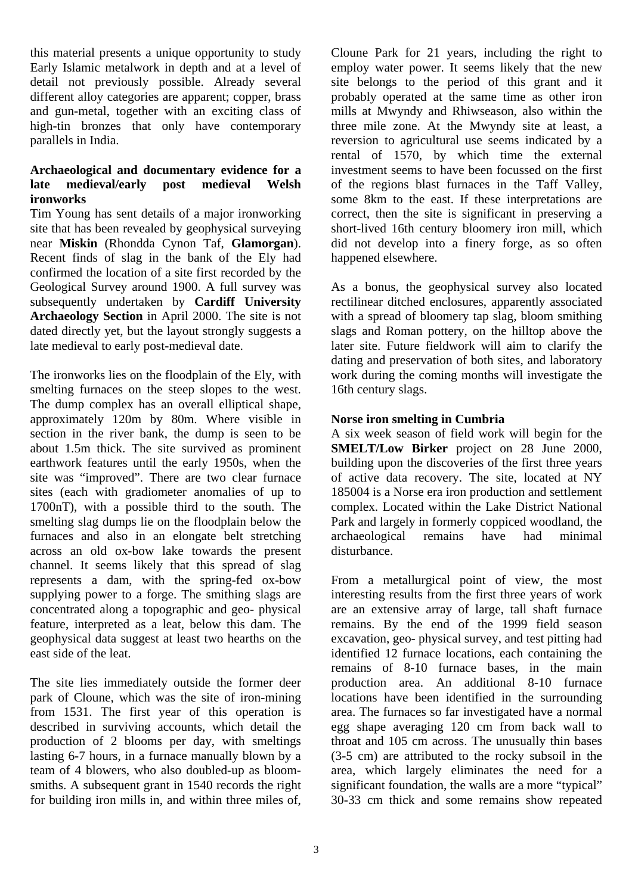this material presents a unique opportunity to study Early Islamic metalwork in depth and at a level of detail not previously possible. Already several different alloy categories are apparent; copper, brass and gun-metal, together with an exciting class of high-tin bronzes that only have contemporary parallels in India.

## **Archaeological and documentary evidence for a late medieval/early post medieval Welsh ironworks**

Tim Young has sent details of a major ironworking site that has been revealed by geophysical surveying near **Miskin** (Rhondda Cynon Taf, **Glamorgan**). Recent finds of slag in the bank of the Ely had confirmed the location of a site first recorded by the Geological Survey around 1900. A full survey was subsequently undertaken by **Cardiff University Archaeology Section** in April 2000. The site is not dated directly yet, but the layout strongly suggests a late medieval to early post-medieval date.

The ironworks lies on the floodplain of the Ely, with smelting furnaces on the steep slopes to the west. The dump complex has an overall elliptical shape, approximately 120m by 80m. Where visible in section in the river bank, the dump is seen to be about 1.5m thick. The site survived as prominent earthwork features until the early 1950s, when the site was "improved". There are two clear furnace sites (each with gradiometer anomalies of up to 1700nT), with a possible third to the south. The smelting slag dumps lie on the floodplain below the furnaces and also in an elongate belt stretching across an old ox-bow lake towards the present channel. It seems likely that this spread of slag represents a dam, with the spring-fed ox-bow supplying power to a forge. The smithing slags are concentrated along a topographic and geo- physical feature, interpreted as a leat, below this dam. The geophysical data suggest at least two hearths on the east side of the leat.

The site lies immediately outside the former deer park of Cloune, which was the site of iron-mining from 1531. The first year of this operation is described in surviving accounts, which detail the production of 2 blooms per day, with smeltings lasting 6-7 hours, in a furnace manually blown by a team of 4 blowers, who also doubled-up as bloomsmiths. A subsequent grant in 1540 records the right for building iron mills in, and within three miles of,

Cloune Park for 21 years, including the right to employ water power. It seems likely that the new site belongs to the period of this grant and it probably operated at the same time as other iron mills at Mwyndy and Rhiwseason, also within the three mile zone. At the Mwyndy site at least, a reversion to agricultural use seems indicated by a rental of 1570, by which time the external investment seems to have been focussed on the first of the regions blast furnaces in the Taff Valley, some 8km to the east. If these interpretations are correct, then the site is significant in preserving a short-lived 16th century bloomery iron mill, which did not develop into a finery forge, as so often happened elsewhere.

As a bonus, the geophysical survey also located rectilinear ditched enclosures, apparently associated with a spread of bloomery tap slag, bloom smithing slags and Roman pottery, on the hilltop above the later site. Future fieldwork will aim to clarify the dating and preservation of both sites, and laboratory work during the coming months will investigate the 16th century slags.

## **Norse iron smelting in Cumbria**

A six week season of field work will begin for the **SMELT/Low Birker** project on 28 June 2000, building upon the discoveries of the first three years of active data recovery. The site, located at NY 185004 is a Norse era iron production and settlement complex. Located within the Lake District National Park and largely in formerly coppiced woodland, the archaeological remains have had minimal disturbance.

From a metallurgical point of view, the most interesting results from the first three years of work are an extensive array of large, tall shaft furnace remains. By the end of the 1999 field season excavation, geo- physical survey, and test pitting had identified 12 furnace locations, each containing the remains of 8-10 furnace bases, in the main production area. An additional 8-10 furnace locations have been identified in the surrounding area. The furnaces so far investigated have a normal egg shape averaging 120 cm from back wall to throat and 105 cm across. The unusually thin bases (3-5 cm) are attributed to the rocky subsoil in the area, which largely eliminates the need for a significant foundation, the walls are a more "typical" 30-33 cm thick and some remains show repeated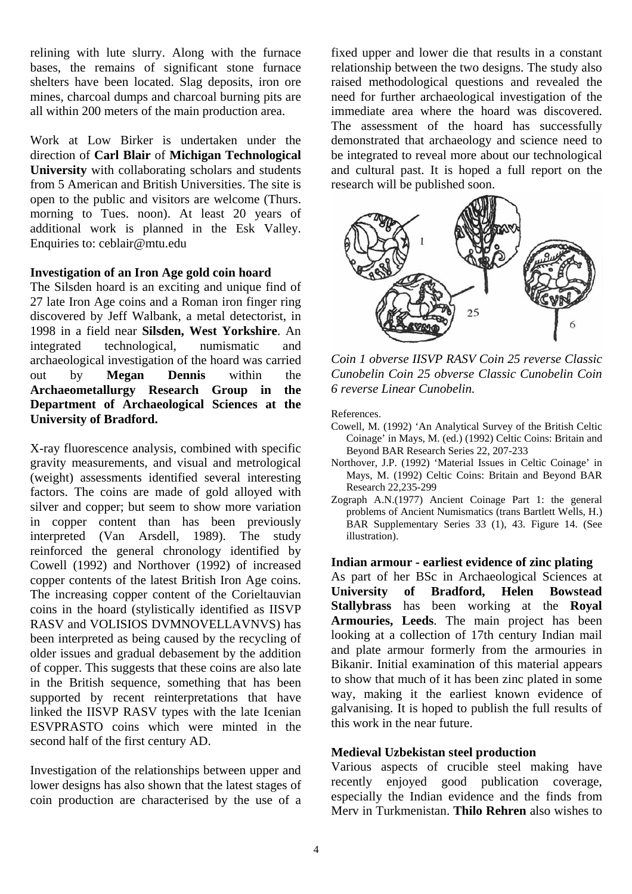relining with lute slurry. Along with the furnace bases, the remains of significant stone furnace shelters have been located. Slag deposits, iron ore mines, charcoal dumps and charcoal burning pits are all within 200 meters of the main production area.

Work at Low Birker is undertaken under the direction of **Carl Blair** of **Michigan Technological University** with collaborating scholars and students from 5 American and British Universities. The site is open to the public and visitors are welcome (Thurs. morning to Tues. noon). At least 20 years of additional work is planned in the Esk Valley. Enquiries to: ceblair@mtu.edu

### **Investigation of an Iron Age gold coin hoard**

The Silsden hoard is an exciting and unique find of 27 late Iron Age coins and a Roman iron finger ring discovered by Jeff Walbank, a metal detectorist, in 1998 in a field near **Silsden, West Yorkshire**. An integrated technological, numismatic and archaeological investigation of the hoard was carried out by **Megan Dennis** within the **Archaeometallurgy Research Group in the Department of Archaeological Sciences at the University of Bradford.** 

X-ray fluorescence analysis, combined with specific gravity measurements, and visual and metrological (weight) assessments identified several interesting factors. The coins are made of gold alloyed with silver and copper; but seem to show more variation in copper content than has been previously interpreted (Van Arsdell, 1989). The study reinforced the general chronology identified by Cowell (1992) and Northover (1992) of increased copper contents of the latest British Iron Age coins. The increasing copper content of the Corieltauvian coins in the hoard (stylistically identified as IISVP RASV and VOLISIOS DVMNOVELLAVNVS) has been interpreted as being caused by the recycling of older issues and gradual debasement by the addition of copper. This suggests that these coins are also late in the British sequence, something that has been supported by recent reinterpretations that have linked the IISVP RASV types with the late Icenian ESVPRASTO coins which were minted in the second half of the first century AD.

Investigation of the relationships between upper and lower designs has also shown that the latest stages of coin production are characterised by the use of a fixed upper and lower die that results in a constant relationship between the two designs. The study also raised methodological questions and revealed the need for further archaeological investigation of the immediate area where the hoard was discovered. The assessment of the hoard has successfully demonstrated that archaeology and science need to be integrated to reveal more about our technological and cultural past. It is hoped a full report on the research will be published soon.



*Coin 1 obverse IISVP RASV Coin 25 reverse Classic Cunobelin Coin 25 obverse Classic Cunobelin Coin 6 reverse Linear Cunobelin.* 

References.

- Cowell, M. (1992) 'An Analytical Survey of the British Celtic Coinage' in Mays, M. (ed.) (1992) Celtic Coins: Britain and Beyond BAR Research Series 22, 207-233
- Northover, J.P. (1992) 'Material Issues in Celtic Coinage' in Mays, M. (1992) Celtic Coins: Britain and Beyond BAR Research 22,235-299
- Zograph A.N.(1977) Ancient Coinage Part 1: the general problems of Ancient Numismatics (trans Bartlett Wells, H.) BAR Supplementary Series 33 (1), 43. Figure 14. (See illustration).

### **Indian armour - earliest evidence of zinc plating**

As part of her BSc in Archaeological Sciences at **University of Bradford, Helen Bowstead Stallybrass** has been working at the **Royal Armouries, Leeds**. The main project has been looking at a collection of 17th century Indian mail and plate armour formerly from the armouries in Bikanir. Initial examination of this material appears to show that much of it has been zinc plated in some way, making it the earliest known evidence of galvanising. It is hoped to publish the full results of this work in the near future.

### **Medieval Uzbekistan steel production**

Various aspects of crucible steel making have recently enjoyed good publication coverage, especially the Indian evidence and the finds from Merv in Turkmenistan. **Thilo Rehren** also wishes to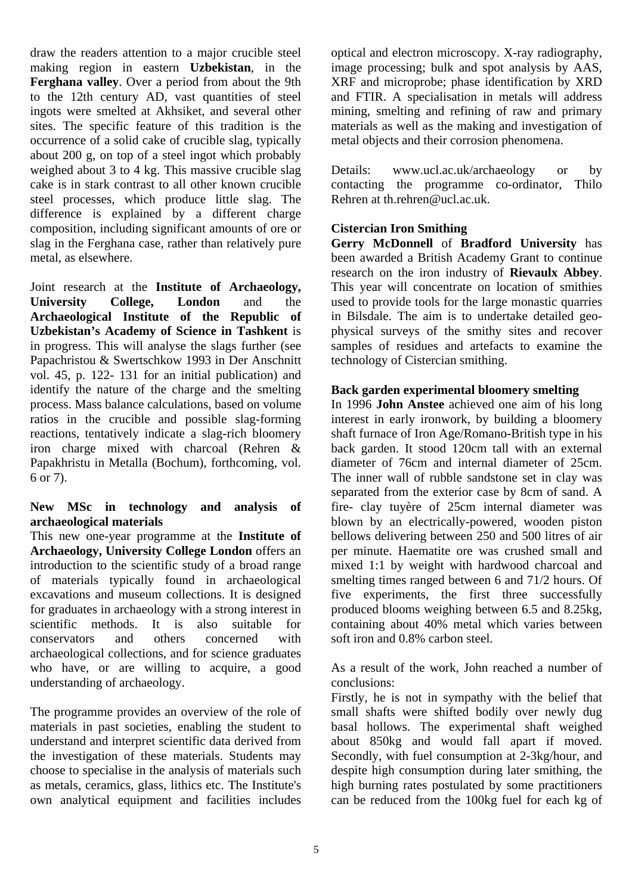draw the readers attention to a major crucible steel making region in eastern **Uzbekistan**, in the **Ferghana valley**. Over a period from about the 9th to the 12th century AD, vast quantities of steel ingots were smelted at Akhsiket, and several other sites. The specific feature of this tradition is the occurrence of a solid cake of crucible slag, typically about 200 g, on top of a steel ingot which probably weighed about 3 to 4 kg. This massive crucible slag cake is in stark contrast to all other known crucible steel processes, which produce little slag. The difference is explained by a different charge composition, including significant amounts of ore or slag in the Ferghana case, rather than relatively pure metal, as elsewhere.

Joint research at the **Institute of Archaeology, University College, London** and the **Archaeological Institute of the Republic of Uzbekistan's Academy of Science in Tashkent** is in progress. This will analyse the slags further (see Papachristou & Swertschkow 1993 in Der Anschnitt vol. 45, p. 122- 131 for an initial publication) and identify the nature of the charge and the smelting process. Mass balance calculations, based on volume ratios in the crucible and possible slag-forming reactions, tentatively indicate a slag-rich bloomery iron charge mixed with charcoal (Rehren & Papakhristu in Metalla (Bochum), forthcoming, vol. 6 or 7).

## **New MSc in technology and analysis of archaeological materials**

This new one-year programme at the **Institute of Archaeology, University College London** offers an introduction to the scientific study of a broad range of materials typically found in archaeological excavations and museum collections. It is designed for graduates in archaeology with a strong interest in scientific methods. It is also suitable for conservators and others concerned with archaeological collections, and for science graduates who have, or are willing to acquire, a good understanding of archaeology.

The programme provides an overview of the role of materials in past societies, enabling the student to understand and interpret scientific data derived from the investigation of these materials. Students may choose to specialise in the analysis of materials such as metals, ceramics, glass, lithics etc. The Institute's own analytical equipment and facilities includes optical and electron microscopy. X-ray radiography, image processing; bulk and spot analysis by AAS, XRF and microprobe; phase identification by XRD and FTIR. A specialisation in metals will address mining, smelting and refining of raw and primary materials as well as the making and investigation of metal objects and their corrosion phenomena.

Details: www.ucl.ac.uk/archaeology or by contacting the programme co-ordinator, Thilo Rehren at th.rehren@ucl.ac.uk.

## **Cistercian Iron Smithing**

**Gerry McDonnell** of **Bradford University** has been awarded a British Academy Grant to continue research on the iron industry of **Rievaulx Abbey**. This year will concentrate on location of smithies used to provide tools for the large monastic quarries in Bilsdale. The aim is to undertake detailed geophysical surveys of the smithy sites and recover samples of residues and artefacts to examine the technology of Cistercian smithing.

## **Back garden experimental bloomery smelting**

In 1996 **John Anstee** achieved one aim of his long interest in early ironwork, by building a bloomery shaft furnace of Iron Age/Romano-British type in his back garden. It stood 120cm tall with an external diameter of 76cm and internal diameter of 25cm. The inner wall of rubble sandstone set in clay was separated from the exterior case by 8cm of sand. A fire- clay tuyère of 25cm internal diameter was blown by an electrically-powered, wooden piston bellows delivering between 250 and 500 litres of air per minute. Haematite ore was crushed small and mixed 1:1 by weight with hardwood charcoal and smelting times ranged between 6 and 71/2 hours. Of five experiments, the first three successfully produced blooms weighing between 6.5 and 8.25kg, containing about 40% metal which varies between soft iron and 0.8% carbon steel.

As a result of the work, John reached a number of conclusions:

Firstly, he is not in sympathy with the belief that small shafts were shifted bodily over newly dug basal hollows. The experimental shaft weighed about 850kg and would fall apart if moved. Secondly, with fuel consumption at 2-3kg/hour, and despite high consumption during later smithing, the high burning rates postulated by some practitioners can be reduced from the 100kg fuel for each kg of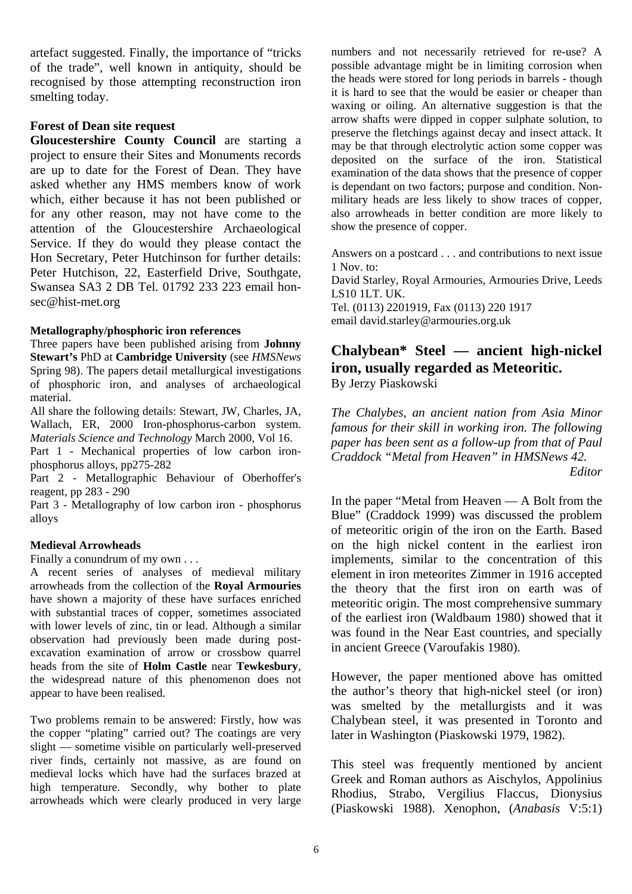artefact suggested. Finally, the importance of "tricks of the trade", well known in antiquity, should be recognised by those attempting reconstruction iron smelting today.

## **Forest of Dean site request**

**Gloucestershire County Council** are starting a project to ensure their Sites and Monuments records are up to date for the Forest of Dean. They have asked whether any HMS members know of work which, either because it has not been published or for any other reason, may not have come to the attention of the Gloucestershire Archaeological Service. If they do would they please contact the Hon Secretary, Peter Hutchinson for further details: Peter Hutchison, 22, Easterfield Drive, Southgate, Swansea SA3 2 DB Tel. 01792 233 223 email honsec@hist-met.org

#### **Metallography/phosphoric iron references**

Three papers have been published arising from **Johnny Stewart's** PhD at **Cambridge University** (see *HMSNews* Spring 98). The papers detail metallurgical investigations of phosphoric iron, and analyses of archaeological material.

All share the following details: Stewart, JW, Charles, JA, Wallach, ER, 2000 Iron-phosphorus-carbon system. *Materials Science and Technology* March 2000, Vol 16.

Part 1 - Mechanical properties of low carbon ironphosphorus alloys, pp275-282

Part 2 - Metallographic Behaviour of Oberhoffer's reagent, pp 283 - 290

Part 3 - Metallography of low carbon iron - phosphorus alloys

### **Medieval Arrowheads**

Finally a conundrum of my own . . .

A recent series of analyses of medieval military arrowheads from the collection of the **Royal Armouries** have shown a majority of these have surfaces enriched with substantial traces of copper, sometimes associated with lower levels of zinc, tin or lead. Although a similar observation had previously been made during postexcavation examination of arrow or crossbow quarrel heads from the site of **Holm Castle** near **Tewkesbury**, the widespread nature of this phenomenon does not appear to have been realised.

Two problems remain to be answered: Firstly, how was the copper "plating" carried out? The coatings are very slight — sometime visible on particularly well-preserved river finds, certainly not massive, as are found on medieval locks which have had the surfaces brazed at high temperature. Secondly, why bother to plate arrowheads which were clearly produced in very large

numbers and not necessarily retrieved for re-use? A possible advantage might be in limiting corrosion when the heads were stored for long periods in barrels - though it is hard to see that the would be easier or cheaper than waxing or oiling. An alternative suggestion is that the arrow shafts were dipped in copper sulphate solution, to preserve the fletchings against decay and insect attack. It may be that through electrolytic action some copper was deposited on the surface of the iron. Statistical examination of the data shows that the presence of copper is dependant on two factors; purpose and condition. Nonmilitary heads are less likely to show traces of copper, also arrowheads in better condition are more likely to show the presence of copper.

Answers on a postcard . . . and contributions to next issue 1 Nov. to: David Starley, Royal Armouries, Armouries Drive, Leeds LS10 1LT. UK. Tel. (0113) 2201919, Fax (0113) 220 1917 email david.starley@armouries.org.uk

## **Chalybean\* Steel — ancient high-nickel iron, usually regarded as Meteoritic.**  By Jerzy Piaskowski

*The Chalybes, an ancient nation from Asia Minor famous for their skill in working iron. The following paper has been sent as a follow-up from that of Paul Craddock "Metal from Heaven" in HMSNews 42.* 

*Editor* 

In the paper "Metal from Heaven — A Bolt from the Blue" (Craddock 1999) was discussed the problem of meteoritic origin of the iron on the Earth. Based on the high nickel content in the earliest iron implements, similar to the concentration of this element in iron meteorites Zimmer in 1916 accepted the theory that the first iron on earth was of meteoritic origin. The most comprehensive summary of the earliest iron (Waldbaum 1980) showed that it was found in the Near East countries, and specially in ancient Greece (Varoufakis 1980).

However, the paper mentioned above has omitted the author's theory that high-nickel steel (or iron) was smelted by the metallurgists and it was Chalybean steel, it was presented in Toronto and later in Washington (Piaskowski 1979, 1982).

This steel was frequently mentioned by ancient Greek and Roman authors as Aischylos, Appolinius Rhodius, Strabo, Vergilius Flaccus, Dionysius (Piaskowski 1988). Xenophon, (*Anabasis* V:5:1)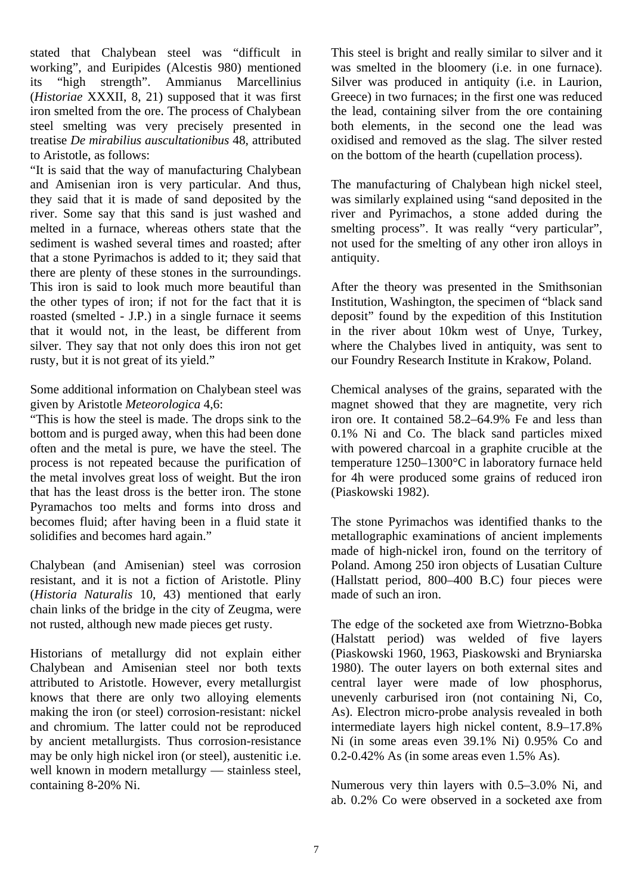stated that Chalybean steel was "difficult in working", and Euripides (Alcestis 980) mentioned its "high strength". Ammianus Marcellinius (*Historiae* XXXII, 8, 21) supposed that it was first iron smelted from the ore. The process of Chalybean steel smelting was very precisely presented in treatise *De mirabilius auscultationibus* 48, attributed to Aristotle, as follows:

"It is said that the way of manufacturing Chalybean and Amisenian iron is very particular. And thus, they said that it is made of sand deposited by the river. Some say that this sand is just washed and melted in a furnace, whereas others state that the sediment is washed several times and roasted; after that a stone Pyrimachos is added to it; they said that there are plenty of these stones in the surroundings. This iron is said to look much more beautiful than the other types of iron; if not for the fact that it is roasted (smelted - J.P.) in a single furnace it seems that it would not, in the least, be different from silver. They say that not only does this iron not get rusty, but it is not great of its yield."

Some additional information on Chalybean steel was given by Aristotle *Meteorologica* 4,6:

"This is how the steel is made. The drops sink to the bottom and is purged away, when this had been done often and the metal is pure, we have the steel. The process is not repeated because the purification of the metal involves great loss of weight. But the iron that has the least dross is the better iron. The stone Pyramachos too melts and forms into dross and becomes fluid; after having been in a fluid state it solidifies and becomes hard again."

Chalybean (and Amisenian) steel was corrosion resistant, and it is not a fiction of Aristotle. Pliny (*Historia Naturalis* 10, 43) mentioned that early chain links of the bridge in the city of Zeugma, were not rusted, although new made pieces get rusty.

Historians of metallurgy did not explain either Chalybean and Amisenian steel nor both texts attributed to Aristotle. However, every metallurgist knows that there are only two alloying elements making the iron (or steel) corrosion-resistant: nickel and chromium. The latter could not be reproduced by ancient metallurgists. Thus corrosion-resistance may be only high nickel iron (or steel), austenitic i.e. well known in modern metallurgy — stainless steel, containing 8-20% Ni.

This steel is bright and really similar to silver and it was smelted in the bloomery (i.e. in one furnace). Silver was produced in antiquity (i.e. in Laurion, Greece) in two furnaces; in the first one was reduced the lead, containing silver from the ore containing both elements, in the second one the lead was oxidised and removed as the slag. The silver rested on the bottom of the hearth (cupellation process).

The manufacturing of Chalybean high nickel steel, was similarly explained using "sand deposited in the river and Pyrimachos, a stone added during the smelting process". It was really "very particular", not used for the smelting of any other iron alloys in antiquity.

After the theory was presented in the Smithsonian Institution, Washington, the specimen of "black sand deposit" found by the expedition of this Institution in the river about 10km west of Unye, Turkey, where the Chalybes lived in antiquity, was sent to our Foundry Research Institute in Krakow, Poland.

Chemical analyses of the grains, separated with the magnet showed that they are magnetite, very rich iron ore. It contained 58.2–64.9% Fe and less than 0.1% Ni and Co. The black sand particles mixed with powered charcoal in a graphite crucible at the temperature 1250–1300°C in laboratory furnace held for 4h were produced some grains of reduced iron (Piaskowski 1982).

The stone Pyrimachos was identified thanks to the metallographic examinations of ancient implements made of high-nickel iron, found on the territory of Poland. Among 250 iron objects of Lusatian Culture (Hallstatt period, 800–400 B.C) four pieces were made of such an iron.

The edge of the socketed axe from Wietrzno-Bobka (Halstatt period) was welded of five layers (Piaskowski 1960, 1963, Piaskowski and Bryniarska 1980). The outer layers on both external sites and central layer were made of low phosphorus, unevenly carburised iron (not containing Ni, Co, As). Electron micro-probe analysis revealed in both intermediate layers high nickel content, 8.9–17.8% Ni (in some areas even 39.1% Ni) 0.95% Co and 0.2-0.42% As (in some areas even 1.5% As).

Numerous very thin layers with 0.5–3.0% Ni, and ab. 0.2% Co were observed in a socketed axe from